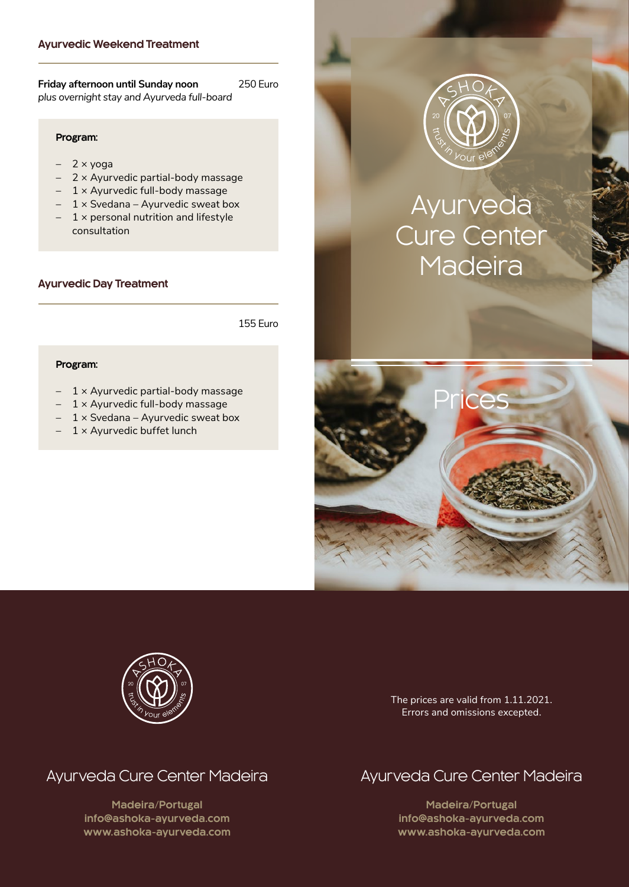#### **Ayurvedic Weekend Treatment**

**Friday afternoon until Sunday noon** 250 Euro *plus overnight stay and Ayurveda full-board*

#### **Program:**

- 2 × yoga
- $2 \times$  Ayurvedic partial-body massage
- $-1 \times$  Ayurvedic full-body massage
- $-1 \times$  Svedana Ayurvedic sweat box
- $-1 \times$  personal nutrition and lifestyle consultation

#### **Ayurvedic Day Treatment**

155 Euro

#### **Program:**

- $-1 \times$  Ayurvedic partial-body massage
- $-1 \times$  Ayurvedic full-body massage
- $-1 \times$  Svedana Ayurvedic sweat box
- $1 \times$  Ayurvedic buffet lunch



# Ayurveda Cure Center **Madeira**





The prices are valid from 1.11.2021. Errors and omissions excepted.

# Ayurveda Cure Center Madeira

**Madeira/Portugal [info@ashoka-ayurveda.com](mailto:info%40ashoka-ayurveda.com%0D?subject=) <www.ashoka-ayurveda.com>**

# Ayurveda Cure Center Madeira

**Madeira/Portugal [info@ashoka-ayurveda.com](mailto:info%40ashoka-ayurveda.com%0D?subject=) <www.ashoka-ayurveda.com>**